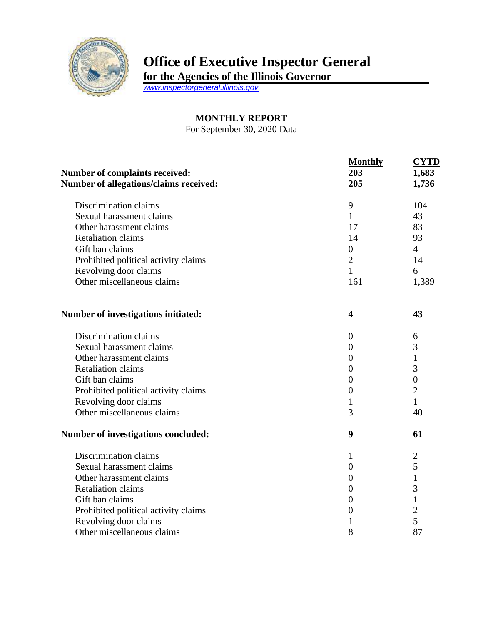

## **Office of Executive Inspector General**

**for the Agencies of the Illinois Governor**

*[www.inspectorgeneral.illinois.gov](http://www.inspectorgeneral.illinois.gov/)*

## **MONTHLY REPORT**

For September 30, 2020 Data

| Number of complaints received:<br>Number of allegations/claims received: | <b>Monthly</b><br>203<br>205 | <b>CYTD</b><br>1,683<br>1,736 |
|--------------------------------------------------------------------------|------------------------------|-------------------------------|
| Discrimination claims                                                    | 9                            | 104                           |
| Sexual harassment claims                                                 | $\mathbf{1}$                 | 43                            |
| Other harassment claims                                                  | 17                           | 83                            |
| <b>Retaliation claims</b>                                                | 14                           | 93                            |
| Gift ban claims                                                          | $\boldsymbol{0}$             | $\overline{4}$                |
| Prohibited political activity claims                                     | $\overline{2}$               | 14                            |
| Revolving door claims                                                    | $\mathbf{1}$                 | 6                             |
| Other miscellaneous claims                                               | 161                          | 1,389                         |
| Number of investigations initiated:                                      | 4                            | 43                            |
| Discrimination claims                                                    | $\overline{0}$               | 6                             |
| Sexual harassment claims                                                 | $\boldsymbol{0}$             | 3                             |
| Other harassment claims                                                  | $\theta$                     | 1                             |
| <b>Retaliation claims</b>                                                | $\theta$                     | 3                             |
| Gift ban claims                                                          | $\boldsymbol{0}$             | $\boldsymbol{0}$              |
| Prohibited political activity claims                                     | $\boldsymbol{0}$             | $\overline{2}$                |
| Revolving door claims                                                    | $\mathbf{1}$                 | $\mathbf{1}$                  |
| Other miscellaneous claims                                               | 3                            | 40                            |
| Number of investigations concluded:                                      | 9                            | 61                            |
| Discrimination claims                                                    | 1                            | $\overline{2}$                |
| Sexual harassment claims                                                 | $\boldsymbol{0}$             | 5                             |
| Other harassment claims                                                  | $\theta$                     | $\mathbf{1}$                  |
| <b>Retaliation claims</b>                                                | $\overline{0}$               | 3                             |
| Gift ban claims                                                          | $\boldsymbol{0}$             | $\mathbf{1}$                  |
| Prohibited political activity claims                                     | $\theta$                     | $\overline{2}$                |
| Revolving door claims                                                    | 1                            | 5                             |
| Other miscellaneous claims                                               | 8                            | 87                            |
|                                                                          |                              |                               |